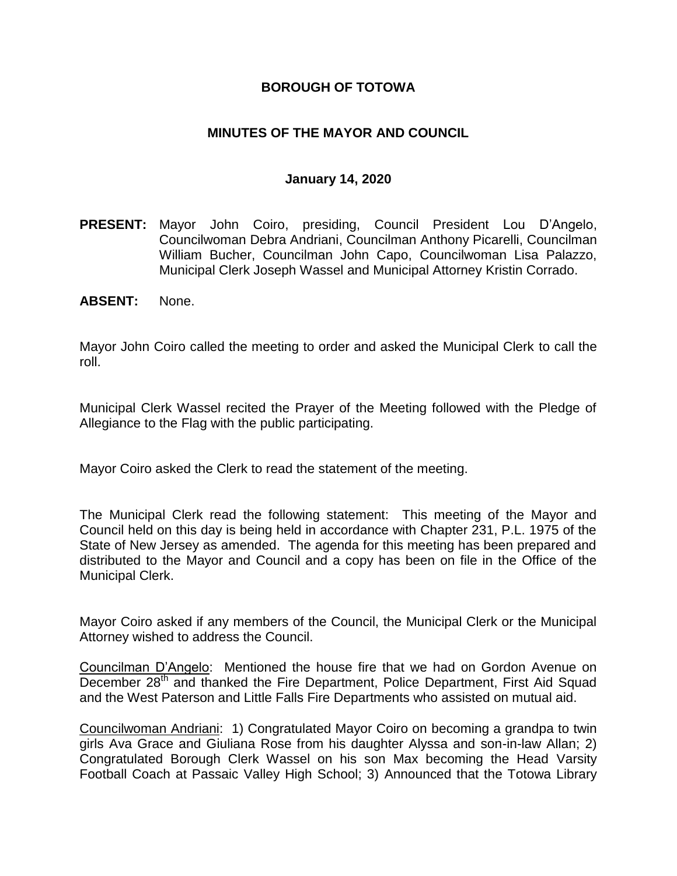# **BOROUGH OF TOTOWA**

# **MINUTES OF THE MAYOR AND COUNCIL**

### **January 14, 2020**

- **PRESENT:** Mayor John Coiro, presiding, Council President Lou D'Angelo, Councilwoman Debra Andriani, Councilman Anthony Picarelli, Councilman William Bucher, Councilman John Capo, Councilwoman Lisa Palazzo, Municipal Clerk Joseph Wassel and Municipal Attorney Kristin Corrado.
- **ABSENT:** None.

Mayor John Coiro called the meeting to order and asked the Municipal Clerk to call the roll.

Municipal Clerk Wassel recited the Prayer of the Meeting followed with the Pledge of Allegiance to the Flag with the public participating.

Mayor Coiro asked the Clerk to read the statement of the meeting.

The Municipal Clerk read the following statement: This meeting of the Mayor and Council held on this day is being held in accordance with Chapter 231, P.L. 1975 of the State of New Jersey as amended. The agenda for this meeting has been prepared and distributed to the Mayor and Council and a copy has been on file in the Office of the Municipal Clerk.

Mayor Coiro asked if any members of the Council, the Municipal Clerk or the Municipal Attorney wished to address the Council.

Councilman D'Angelo: Mentioned the house fire that we had on Gordon Avenue on December 28<sup>th</sup> and thanked the Fire Department, Police Department, First Aid Squad and the West Paterson and Little Falls Fire Departments who assisted on mutual aid.

Councilwoman Andriani: 1) Congratulated Mayor Coiro on becoming a grandpa to twin girls Ava Grace and Giuliana Rose from his daughter Alyssa and son-in-law Allan; 2) Congratulated Borough Clerk Wassel on his son Max becoming the Head Varsity Football Coach at Passaic Valley High School; 3) Announced that the Totowa Library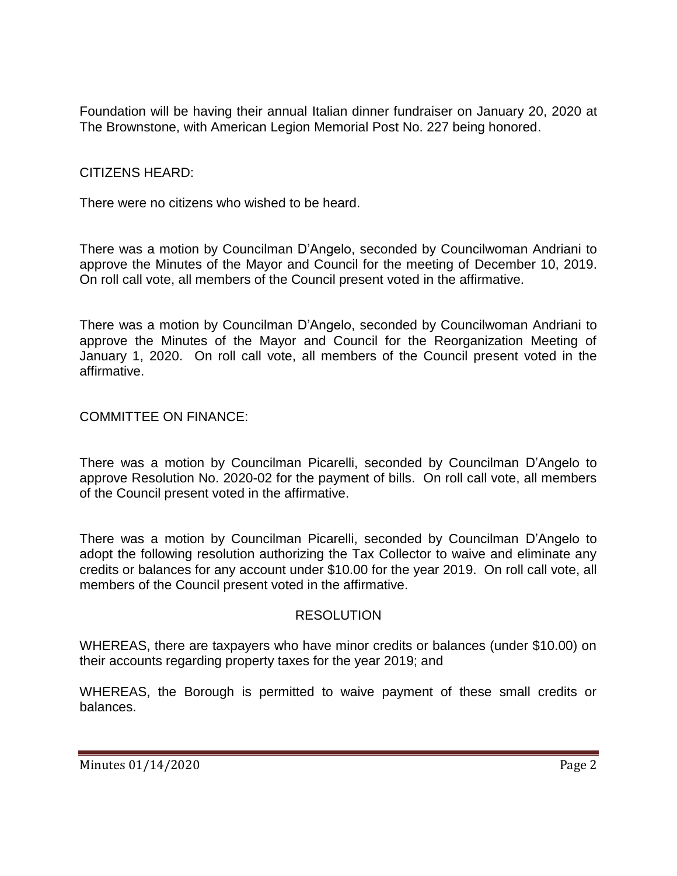Foundation will be having their annual Italian dinner fundraiser on January 20, 2020 at The Brownstone, with American Legion Memorial Post No. 227 being honored.

# CITIZENS HEARD:

There were no citizens who wished to be heard.

There was a motion by Councilman D'Angelo, seconded by Councilwoman Andriani to approve the Minutes of the Mayor and Council for the meeting of December 10, 2019. On roll call vote, all members of the Council present voted in the affirmative.

There was a motion by Councilman D'Angelo, seconded by Councilwoman Andriani to approve the Minutes of the Mayor and Council for the Reorganization Meeting of January 1, 2020. On roll call vote, all members of the Council present voted in the affirmative.

# COMMITTEE ON FINANCE:

There was a motion by Councilman Picarelli, seconded by Councilman D'Angelo to approve Resolution No. 2020-02 for the payment of bills. On roll call vote, all members of the Council present voted in the affirmative.

There was a motion by Councilman Picarelli, seconded by Councilman D'Angelo to adopt the following resolution authorizing the Tax Collector to waive and eliminate any credits or balances for any account under \$10.00 for the year 2019. On roll call vote, all members of the Council present voted in the affirmative.

### **RESOLUTION**

WHEREAS, there are taxpayers who have minor credits or balances (under \$10.00) on their accounts regarding property taxes for the year 2019; and

WHEREAS, the Borough is permitted to waive payment of these small credits or balances.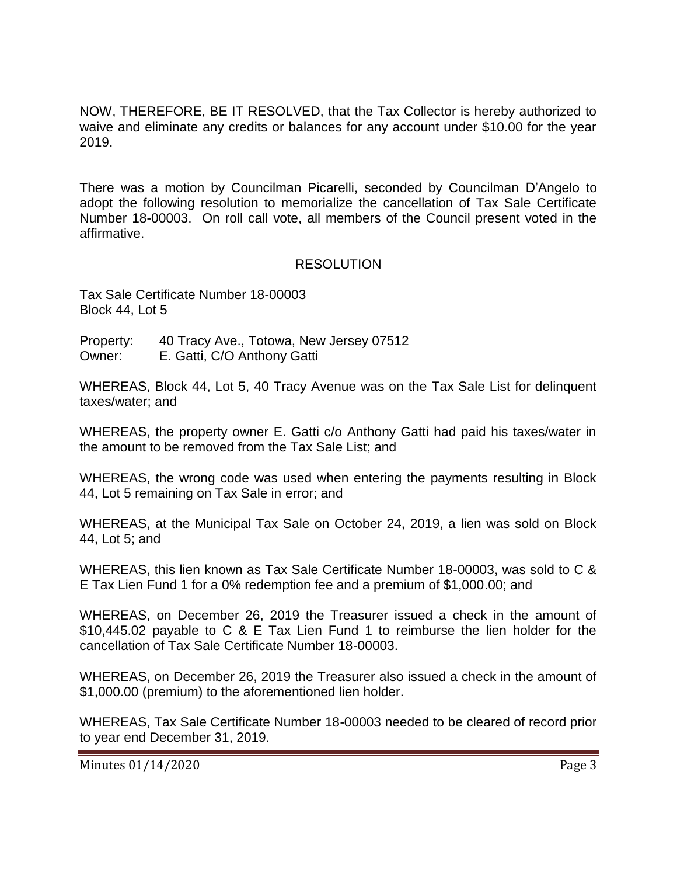NOW, THEREFORE, BE IT RESOLVED, that the Tax Collector is hereby authorized to waive and eliminate any credits or balances for any account under \$10.00 for the year 2019.

There was a motion by Councilman Picarelli, seconded by Councilman D'Angelo to adopt the following resolution to memorialize the cancellation of Tax Sale Certificate Number 18-00003. On roll call vote, all members of the Council present voted in the affirmative.

# RESOLUTION

Tax Sale Certificate Number 18-00003 Block 44, Lot 5

Property: 40 Tracy Ave., Totowa, New Jersey 07512 Owner: E. Gatti, C/O Anthony Gatti

WHEREAS, Block 44, Lot 5, 40 Tracy Avenue was on the Tax Sale List for delinquent taxes/water; and

WHEREAS, the property owner E. Gatti c/o Anthony Gatti had paid his taxes/water in the amount to be removed from the Tax Sale List; and

WHEREAS, the wrong code was used when entering the payments resulting in Block 44, Lot 5 remaining on Tax Sale in error; and

WHEREAS, at the Municipal Tax Sale on October 24, 2019, a lien was sold on Block 44, Lot 5; and

WHEREAS, this lien known as Tax Sale Certificate Number 18-00003, was sold to C & E Tax Lien Fund 1 for a 0% redemption fee and a premium of \$1,000.00; and

WHEREAS, on December 26, 2019 the Treasurer issued a check in the amount of \$10,445.02 payable to C & E Tax Lien Fund 1 to reimburse the lien holder for the cancellation of Tax Sale Certificate Number 18-00003.

WHEREAS, on December 26, 2019 the Treasurer also issued a check in the amount of \$1,000.00 (premium) to the aforementioned lien holder.

WHEREAS, Tax Sale Certificate Number 18-00003 needed to be cleared of record prior to year end December 31, 2019.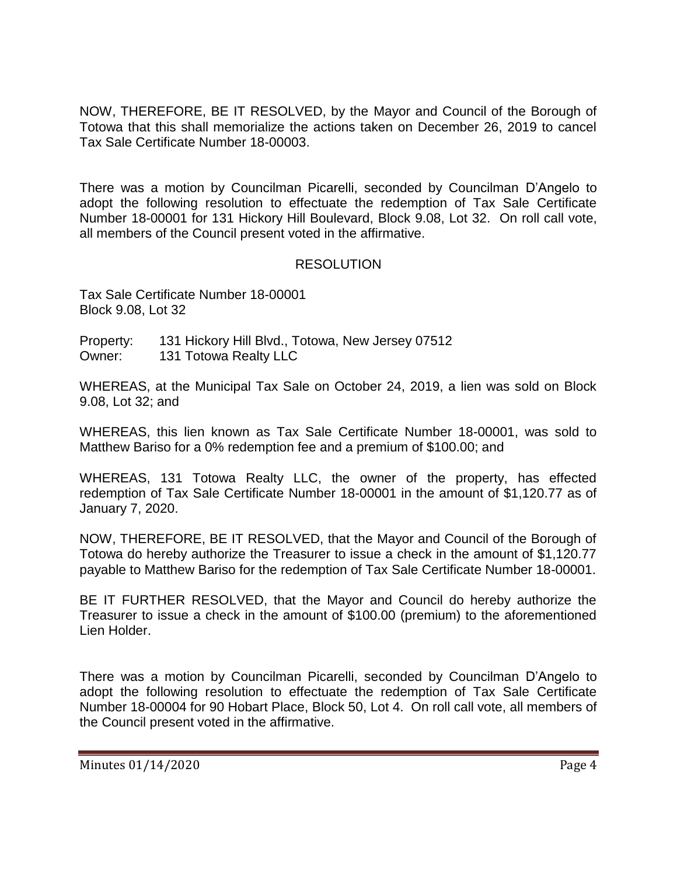NOW, THEREFORE, BE IT RESOLVED, by the Mayor and Council of the Borough of Totowa that this shall memorialize the actions taken on December 26, 2019 to cancel Tax Sale Certificate Number 18-00003.

There was a motion by Councilman Picarelli, seconded by Councilman D'Angelo to adopt the following resolution to effectuate the redemption of Tax Sale Certificate Number 18-00001 for 131 Hickory Hill Boulevard, Block 9.08, Lot 32. On roll call vote, all members of the Council present voted in the affirmative.

# RESOLUTION

Tax Sale Certificate Number 18-00001 Block 9.08, Lot 32

Property: 131 Hickory Hill Blvd., Totowa, New Jersey 07512 Owner: 131 Totowa Realty LLC

WHEREAS, at the Municipal Tax Sale on October 24, 2019, a lien was sold on Block 9.08, Lot 32; and

WHEREAS, this lien known as Tax Sale Certificate Number 18-00001, was sold to Matthew Bariso for a 0% redemption fee and a premium of \$100.00; and

WHEREAS, 131 Totowa Realty LLC, the owner of the property, has effected redemption of Tax Sale Certificate Number 18-00001 in the amount of \$1,120.77 as of January 7, 2020.

NOW, THEREFORE, BE IT RESOLVED, that the Mayor and Council of the Borough of Totowa do hereby authorize the Treasurer to issue a check in the amount of \$1,120.77 payable to Matthew Bariso for the redemption of Tax Sale Certificate Number 18-00001.

BE IT FURTHER RESOLVED, that the Mayor and Council do hereby authorize the Treasurer to issue a check in the amount of \$100.00 (premium) to the aforementioned Lien Holder.

There was a motion by Councilman Picarelli, seconded by Councilman D'Angelo to adopt the following resolution to effectuate the redemption of Tax Sale Certificate Number 18-00004 for 90 Hobart Place, Block 50, Lot 4. On roll call vote, all members of the Council present voted in the affirmative.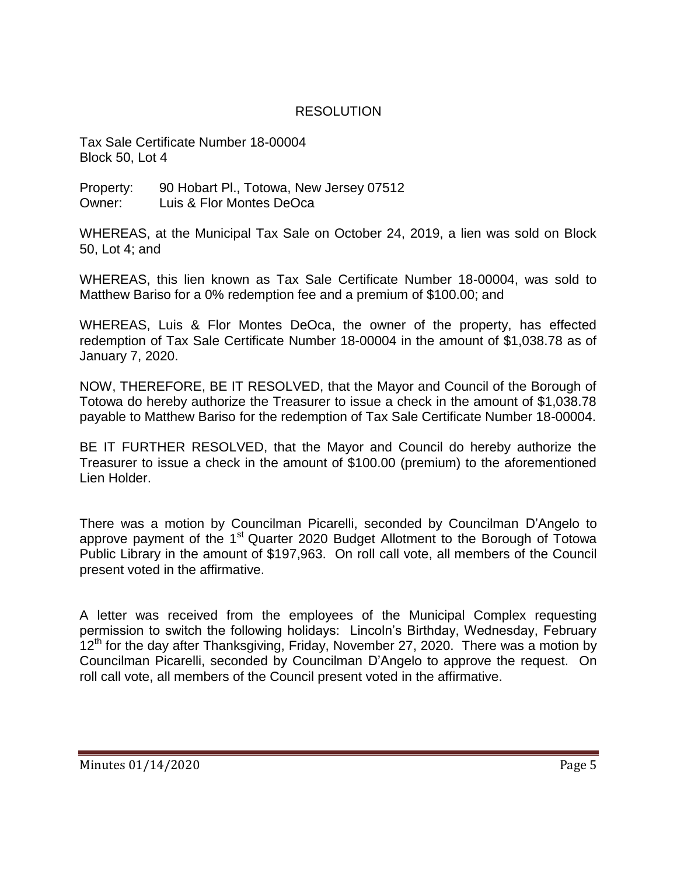# RESOLUTION

Tax Sale Certificate Number 18-00004 Block 50, Lot 4

Property: 90 Hobart Pl., Totowa, New Jersey 07512 Owner: Luis & Flor Montes DeOca

WHEREAS, at the Municipal Tax Sale on October 24, 2019, a lien was sold on Block 50, Lot 4; and

WHEREAS, this lien known as Tax Sale Certificate Number 18-00004, was sold to Matthew Bariso for a 0% redemption fee and a premium of \$100.00; and

WHEREAS, Luis & Flor Montes DeOca, the owner of the property, has effected redemption of Tax Sale Certificate Number 18-00004 in the amount of \$1,038.78 as of January 7, 2020.

NOW, THEREFORE, BE IT RESOLVED, that the Mayor and Council of the Borough of Totowa do hereby authorize the Treasurer to issue a check in the amount of \$1,038.78 payable to Matthew Bariso for the redemption of Tax Sale Certificate Number 18-00004.

BE IT FURTHER RESOLVED, that the Mayor and Council do hereby authorize the Treasurer to issue a check in the amount of \$100.00 (premium) to the aforementioned Lien Holder.

There was a motion by Councilman Picarelli, seconded by Councilman D'Angelo to approve payment of the  $1<sup>st</sup>$  Quarter 2020 Budget Allotment to the Borough of Totowa Public Library in the amount of \$197,963. On roll call vote, all members of the Council present voted in the affirmative.

A letter was received from the employees of the Municipal Complex requesting permission to switch the following holidays: Lincoln's Birthday, Wednesday, February  $12<sup>th</sup>$  for the day after Thanksgiving, Friday, November 27, 2020. There was a motion by Councilman Picarelli, seconded by Councilman D'Angelo to approve the request. On roll call vote, all members of the Council present voted in the affirmative.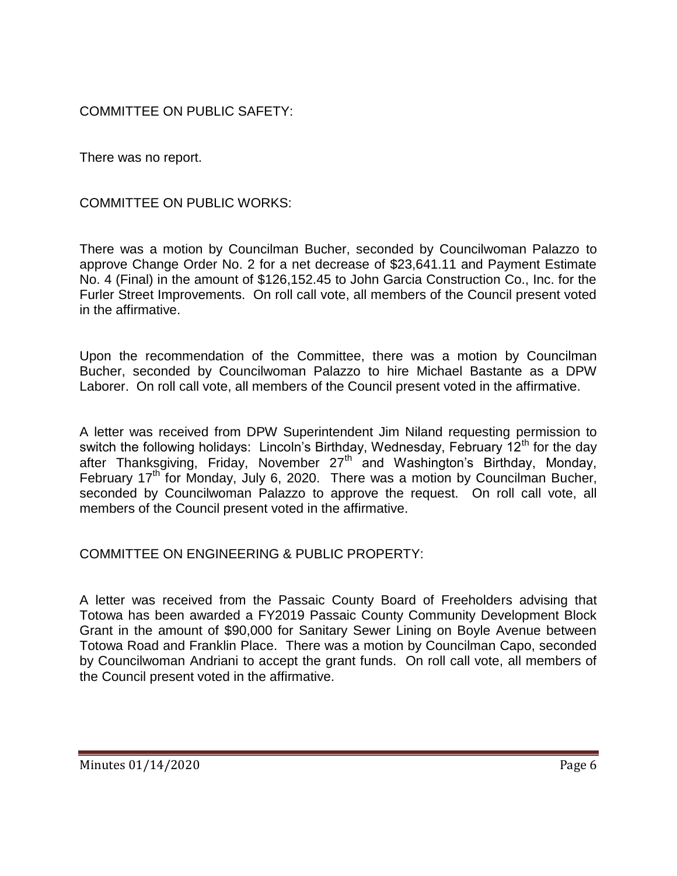COMMITTEE ON PUBLIC SAFETY:

There was no report.

COMMITTEE ON PUBLIC WORKS:

There was a motion by Councilman Bucher, seconded by Councilwoman Palazzo to approve Change Order No. 2 for a net decrease of \$23,641.11 and Payment Estimate No. 4 (Final) in the amount of \$126,152.45 to John Garcia Construction Co., Inc. for the Furler Street Improvements. On roll call vote, all members of the Council present voted in the affirmative.

Upon the recommendation of the Committee, there was a motion by Councilman Bucher, seconded by Councilwoman Palazzo to hire Michael Bastante as a DPW Laborer. On roll call vote, all members of the Council present voted in the affirmative.

A letter was received from DPW Superintendent Jim Niland requesting permission to switch the following holidays: Lincoln's Birthday, Wednesday, February 12<sup>th</sup> for the day after Thanksgiving, Friday, November  $27<sup>th</sup>$  and Washington's Birthday, Monday, February 17<sup>th</sup> for Monday, July 6, 2020. There was a motion by Councilman Bucher, seconded by Councilwoman Palazzo to approve the request. On roll call vote, all members of the Council present voted in the affirmative.

COMMITTEE ON ENGINEERING & PUBLIC PROPERTY:

A letter was received from the Passaic County Board of Freeholders advising that Totowa has been awarded a FY2019 Passaic County Community Development Block Grant in the amount of \$90,000 for Sanitary Sewer Lining on Boyle Avenue between Totowa Road and Franklin Place. There was a motion by Councilman Capo, seconded by Councilwoman Andriani to accept the grant funds. On roll call vote, all members of the Council present voted in the affirmative.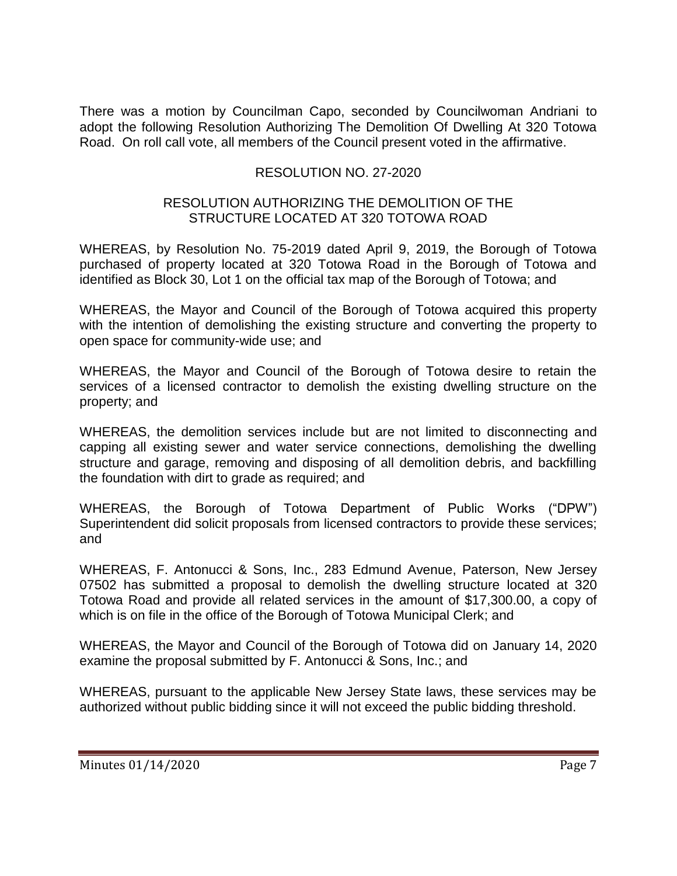There was a motion by Councilman Capo, seconded by Councilwoman Andriani to adopt the following Resolution Authorizing The Demolition Of Dwelling At 320 Totowa Road. On roll call vote, all members of the Council present voted in the affirmative.

# RESOLUTION NO. 27-2020

## RESOLUTION AUTHORIZING THE DEMOLITION OF THE STRUCTURE LOCATED AT 320 TOTOWA ROAD

WHEREAS, by Resolution No. 75-2019 dated April 9, 2019, the Borough of Totowa purchased of property located at 320 Totowa Road in the Borough of Totowa and identified as Block 30, Lot 1 on the official tax map of the Borough of Totowa; and

WHEREAS, the Mayor and Council of the Borough of Totowa acquired this property with the intention of demolishing the existing structure and converting the property to open space for community-wide use; and

WHEREAS, the Mayor and Council of the Borough of Totowa desire to retain the services of a licensed contractor to demolish the existing dwelling structure on the property; and

WHEREAS, the demolition services include but are not limited to disconnecting and capping all existing sewer and water service connections, demolishing the dwelling structure and garage, removing and disposing of all demolition debris, and backfilling the foundation with dirt to grade as required; and

WHEREAS, the Borough of Totowa Department of Public Works ("DPW") Superintendent did solicit proposals from licensed contractors to provide these services; and

WHEREAS, F. Antonucci & Sons, Inc., 283 Edmund Avenue, Paterson, New Jersey 07502 has submitted a proposal to demolish the dwelling structure located at 320 Totowa Road and provide all related services in the amount of \$17,300.00, a copy of which is on file in the office of the Borough of Totowa Municipal Clerk; and

WHEREAS, the Mayor and Council of the Borough of Totowa did on January 14, 2020 examine the proposal submitted by F. Antonucci & Sons, Inc.; and

WHEREAS, pursuant to the applicable New Jersey State laws, these services may be authorized without public bidding since it will not exceed the public bidding threshold.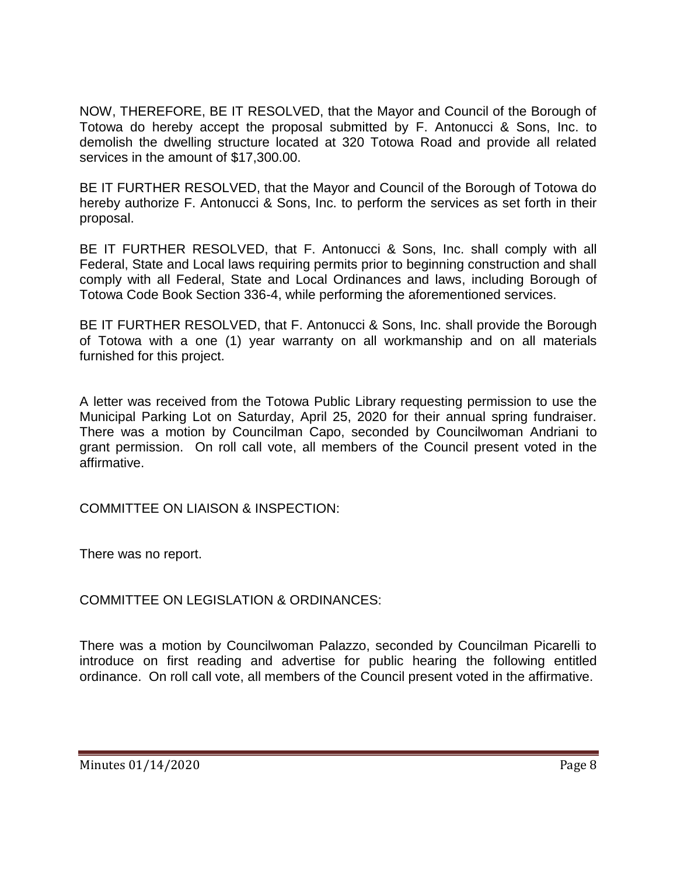NOW, THEREFORE, BE IT RESOLVED, that the Mayor and Council of the Borough of Totowa do hereby accept the proposal submitted by F. Antonucci & Sons, Inc. to demolish the dwelling structure located at 320 Totowa Road and provide all related services in the amount of \$17,300.00.

BE IT FURTHER RESOLVED, that the Mayor and Council of the Borough of Totowa do hereby authorize F. Antonucci & Sons, Inc. to perform the services as set forth in their proposal.

BE IT FURTHER RESOLVED, that F. Antonucci & Sons, Inc. shall comply with all Federal, State and Local laws requiring permits prior to beginning construction and shall comply with all Federal, State and Local Ordinances and laws, including Borough of Totowa Code Book Section 336-4, while performing the aforementioned services.

BE IT FURTHER RESOLVED, that F. Antonucci & Sons, Inc. shall provide the Borough of Totowa with a one (1) year warranty on all workmanship and on all materials furnished for this project.

A letter was received from the Totowa Public Library requesting permission to use the Municipal Parking Lot on Saturday, April 25, 2020 for their annual spring fundraiser. There was a motion by Councilman Capo, seconded by Councilwoman Andriani to grant permission. On roll call vote, all members of the Council present voted in the affirmative.

COMMITTEE ON LIAISON & INSPECTION:

There was no report.

COMMITTEE ON LEGISLATION & ORDINANCES:

There was a motion by Councilwoman Palazzo, seconded by Councilman Picarelli to introduce on first reading and advertise for public hearing the following entitled ordinance. On roll call vote, all members of the Council present voted in the affirmative.